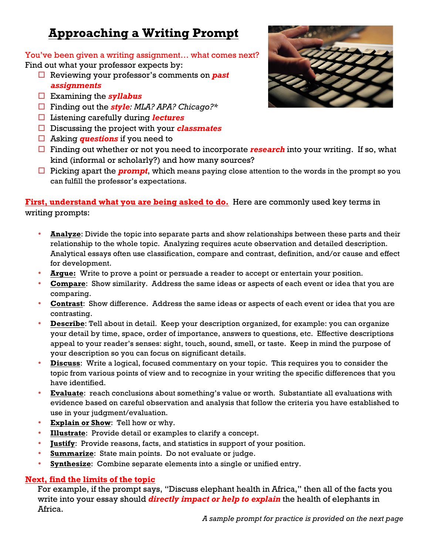# **Approaching a Writing Prompt**

You've been given a writing assignment… what comes next? Find out what your professor expects by:

- □ Reviewing your professor's comments on **past** *assignments*
- ! Examining the *syllabus*
- ! Finding out the *style: MLA? APA? Chicago?\**
- ! Listening carefully during *lectures*
- ! Discussing the project with your *classmates*
- □ Asking *questions* if you need to
- $\Box$  Finding out whether or not you need to incorporate *research* into your writing. If so, what kind (informal or scholarly?) and how many sources?
- $\Box$  Picking apart the **prompt**, which means paying close attention to the words in the prompt so you can fulfill the professor's expectations.

## **First, understand what you are being asked to do.** Here are commonly used key terms in writing prompts:

- **Analyze**: Divide the topic into separate parts and show relationships between these parts and their relationship to the whole topic. Analyzing requires acute observation and detailed description. Analytical essays often use classification, compare and contrast, definition, and/or cause and effect for development.
- **Argue:** Write to prove a point or persuade a reader to accept or entertain your position.
- **Compare**: Show similarity. Address the same ideas or aspects of each event or idea that you are comparing.
- **Contrast**: Show difference. Address the same ideas or aspects of each event or idea that you are contrasting.
- **Describe**: Tell about in detail. Keep your description organized, for example: you can organize your detail by time, space, order of importance, answers to questions, etc. Effective descriptions appeal to your reader's senses: sight, touch, sound, smell, or taste. Keep in mind the purpose of your description so you can focus on significant details.
- **Discuss**: Write a logical, focused commentary on your topic. This requires you to consider the topic from various points of view and to recognize in your writing the specific differences that you have identified.
- **Evaluate**: reach conclusions about something's value or worth. Substantiate all evaluations with evidence based on careful observation and analysis that follow the criteria you have established to use in your judgment/evaluation.
- **Explain or Show**: Tell how or why.
- **Illustrate**: Provide detail or examples to clarify a concept.
- **Justify**: Provide reasons, facts, and statistics in support of your position.
- **Summarize**: State main points. Do not evaluate or judge.
- **Synthesize**: Combine separate elements into a single or unified entry.

## **Next, find the limits of the topic**

For example, if the prompt says, "Discuss elephant health in Africa," then all of the facts you write into your essay should *directly impact or help to explain* the health of elephants in Africa.